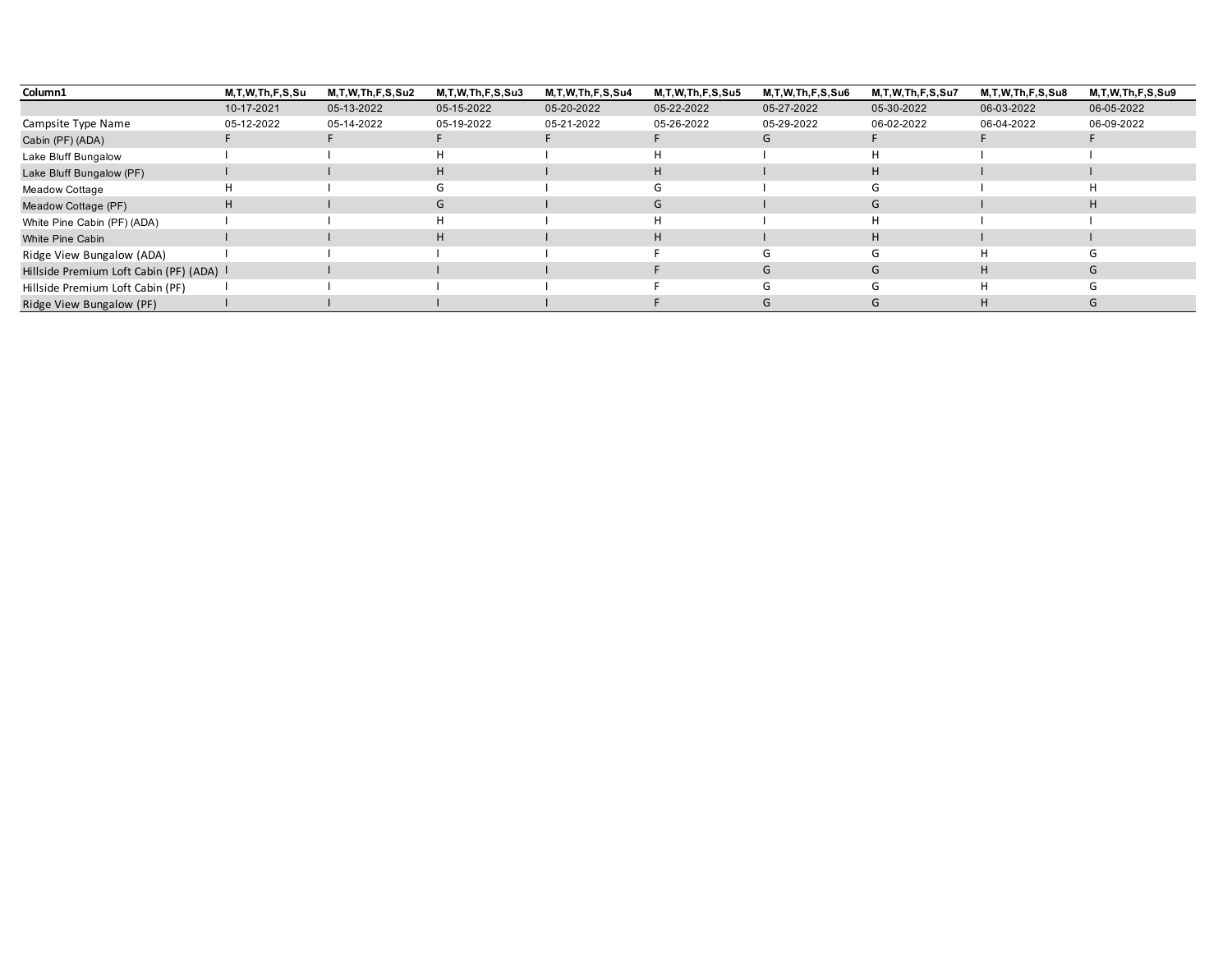| Column1                                  | M,T,W,Th,F,S,Su | <b>M.T.W.Th.F.S.Su2</b> | M, T, W, Th, F, S, Su3 | M.T.W.Th.F.S.Su4 | <b>M.T.W.Th.F.S.Su5</b> | M.T.W.Th.F.S.Su6 | M.T.W.Th.F.S.Su7 | M.T.W.Th.F.S.Su8 | M,T,W,Th,F,S,Su9 |
|------------------------------------------|-----------------|-------------------------|------------------------|------------------|-------------------------|------------------|------------------|------------------|------------------|
|                                          | 10-17-2021      | 05-13-2022              | 05-15-2022             | 05-20-2022       | 05-22-2022              | 05-27-2022       | 05-30-2022       | 06-03-2022       | 06-05-2022       |
| Campsite Type Name                       | 05-12-2022      | 05-14-2022              | 05-19-2022             | 05-21-2022       | 05-26-2022              | 05-29-2022       | 06-02-2022       | 06-04-2022       | 06-09-2022       |
| Cabin (PF) (ADA)                         |                 |                         |                        |                  |                         | G                |                  |                  |                  |
| Lake Bluff Bungalow                      |                 |                         |                        |                  | Н                       |                  |                  |                  |                  |
| Lake Bluff Bungalow (PF)                 |                 |                         | H                      |                  | H                       |                  | H                |                  |                  |
| Meadow Cottage                           | H.              |                         | G                      |                  | G                       |                  | ۰۱.              |                  |                  |
| Meadow Cottage (PF)                      | H.              |                         | G                      |                  | G                       |                  | G                |                  | H                |
| White Pine Cabin (PF) (ADA)              |                 |                         |                        |                  | H                       |                  |                  |                  |                  |
| White Pine Cabin                         |                 |                         | H                      |                  | H                       |                  | H                |                  |                  |
| Ridge View Bungalow (ADA)                |                 |                         |                        |                  |                         | G                | $\mathsf{G}$     | H                | (¬               |
| Hillside Premium Loft Cabin (PF) (ADA) I |                 |                         |                        |                  |                         | G                | G                | H                | G                |
| Hillside Premium Loft Cabin (PF)         |                 |                         |                        |                  |                         | G                |                  | H                | (٦               |
| Ridge View Bungalow (PF)                 |                 |                         |                        |                  |                         | G                | G                | H                |                  |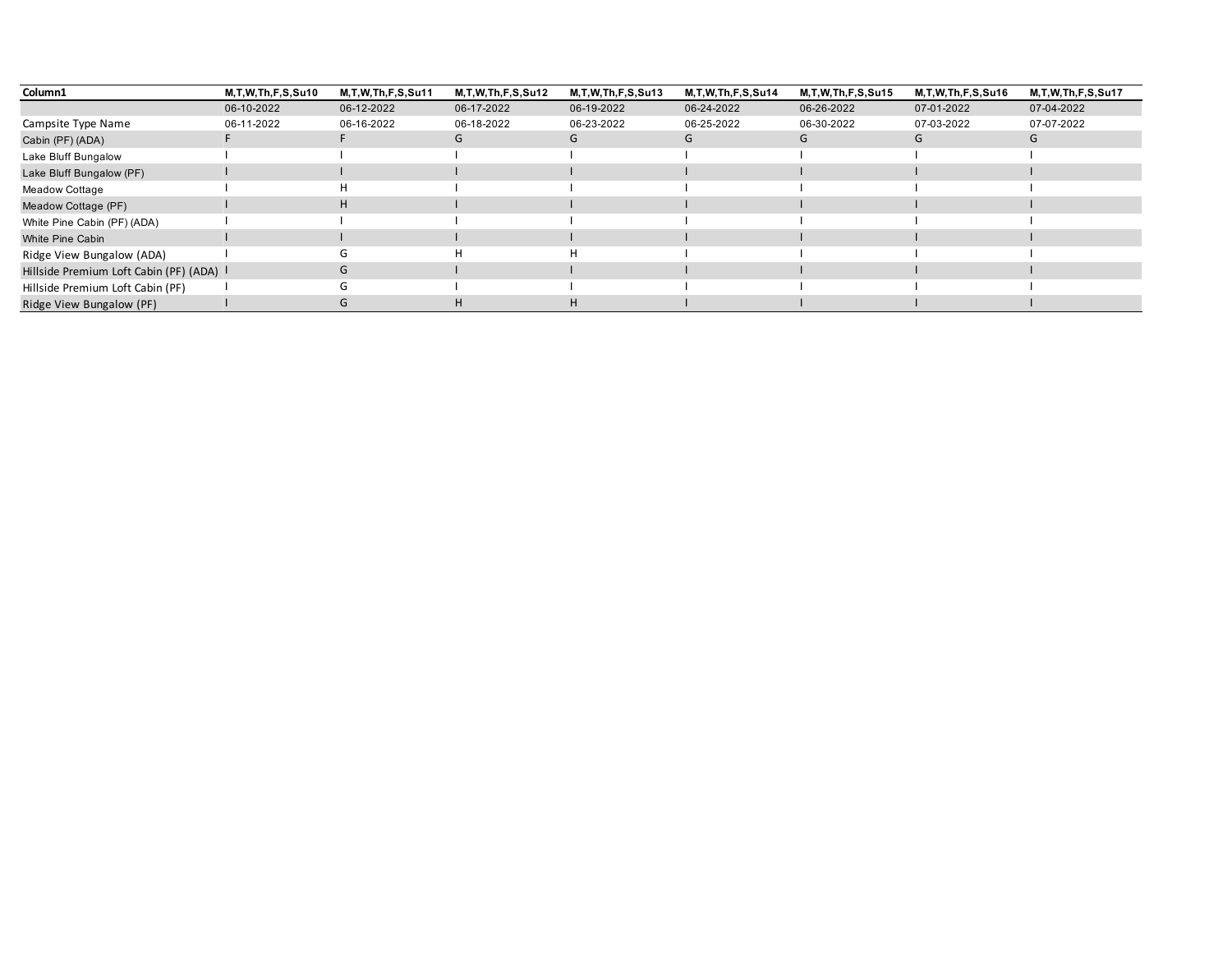| Column1                                  | M, T, W, Th, F, S, Su10 | M, T, W, Th, F, S, Su11 | M, T, W, Th, F, S, Su 12 | M, T, W, Th, F, S, Su13 | M, T, W, Th, F, S, Su14 | M, T, W, Th, F, S, Su15 | M, T, W, Th, F, S, Su16 | M, T, W, Th, F, S, Su17 |
|------------------------------------------|-------------------------|-------------------------|--------------------------|-------------------------|-------------------------|-------------------------|-------------------------|-------------------------|
|                                          | 06-10-2022              | 06-12-2022              | 06-17-2022               | 06-19-2022              | 06-24-2022              | 06-26-2022              | 07-01-2022              | 07-04-2022              |
| Campsite Type Name                       | 06-11-2022              | 06-16-2022              | 06-18-2022               | 06-23-2022              | 06-25-2022              | 06-30-2022              | 07-03-2022              | 07-07-2022              |
| Cabin (PF) (ADA)                         |                         |                         | G                        | G                       | G                       | G                       | G                       | G                       |
| Lake Bluff Bungalow                      |                         |                         |                          |                         |                         |                         |                         |                         |
| Lake Bluff Bungalow (PF)                 |                         |                         |                          |                         |                         |                         |                         |                         |
| Meadow Cottage                           |                         | н                       |                          |                         |                         |                         |                         |                         |
| Meadow Cottage (PF)                      |                         | H                       |                          |                         |                         |                         |                         |                         |
| White Pine Cabin (PF) (ADA)              |                         |                         |                          |                         |                         |                         |                         |                         |
| White Pine Cabin                         |                         |                         |                          |                         |                         |                         |                         |                         |
| Ridge View Bungalow (ADA)                |                         | G                       | н                        | H.                      |                         |                         |                         |                         |
| Hillside Premium Loft Cabin (PF) (ADA) I |                         | G                       |                          |                         |                         |                         |                         |                         |
| Hillside Premium Loft Cabin (PF)         |                         | G                       |                          |                         |                         |                         |                         |                         |
| Ridge View Bungalow (PF)                 |                         | G                       | H                        | H                       |                         |                         |                         |                         |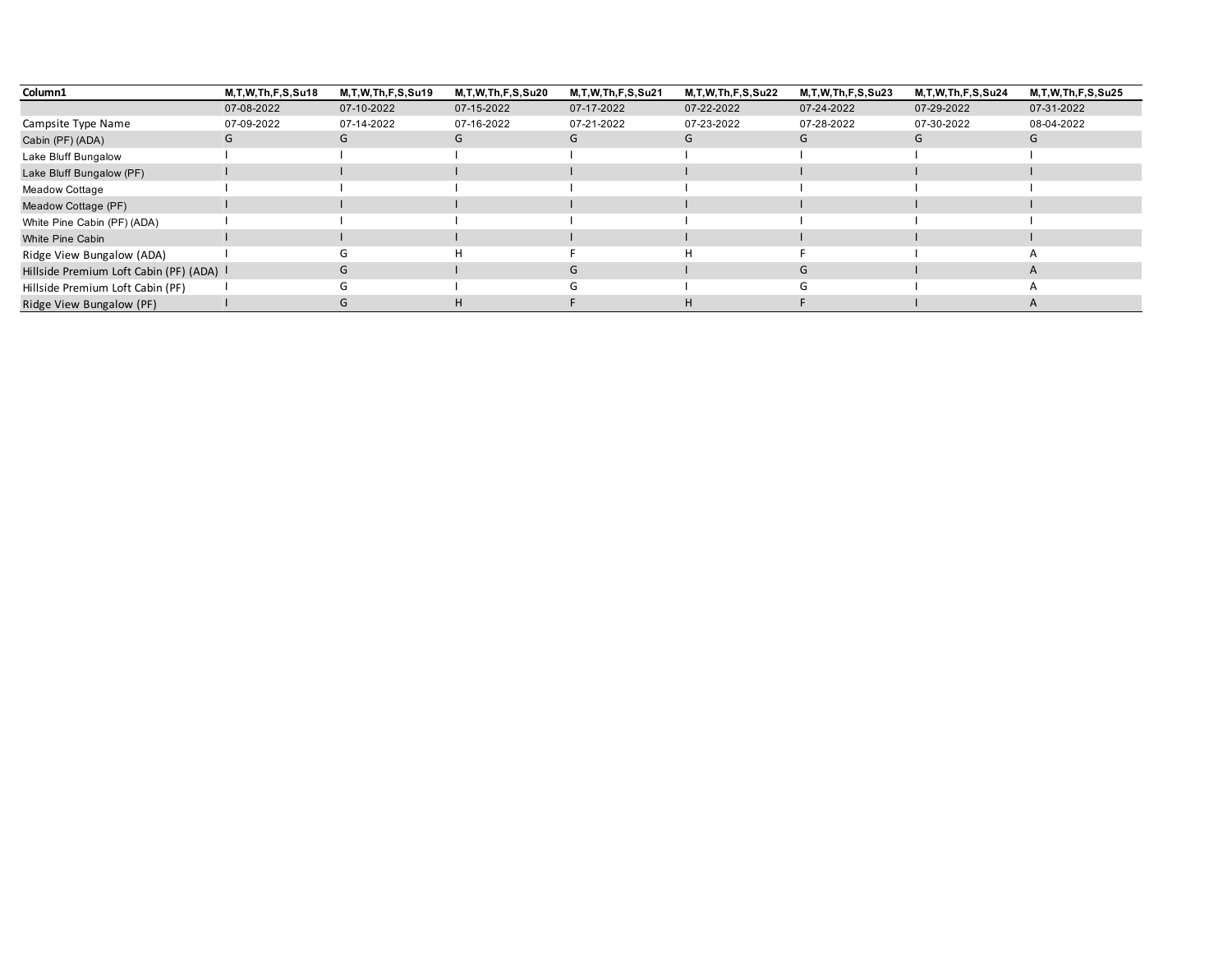| Column1                                | M, T, W, Th, F, S, Su18 | M, T, W, Th, F, S, Su19 | M, T, W, Th, F, S, Su20 | M, T, W, Th, F, S, Su21 | M,T,W,Th,F,S,Su22 | M, T, W, Th, F, S, Su23 | M, T, W, Th, F, S, Su24 | M, T, W, Th, F, S, Su25 |
|----------------------------------------|-------------------------|-------------------------|-------------------------|-------------------------|-------------------|-------------------------|-------------------------|-------------------------|
|                                        | 07-08-2022              | 07-10-2022              | 07-15-2022              | 07-17-2022              | 07-22-2022        | 07-24-2022              | 07-29-2022              | 07-31-2022              |
| Campsite Type Name                     | 07-09-2022              | 07-14-2022              | 07-16-2022              | 07-21-2022              | 07-23-2022        | 07-28-2022              | 07-30-2022              | 08-04-2022              |
| Cabin (PF) (ADA)                       | G                       | G                       | G                       | G                       | G                 | G                       | G                       | G                       |
| Lake Bluff Bungalow                    |                         |                         |                         |                         |                   |                         |                         |                         |
| Lake Bluff Bungalow (PF)               |                         |                         |                         |                         |                   |                         |                         |                         |
| Meadow Cottage                         |                         |                         |                         |                         |                   |                         |                         |                         |
| Meadow Cottage (PF)                    |                         |                         |                         |                         |                   |                         |                         |                         |
| White Pine Cabin (PF) (ADA)            |                         |                         |                         |                         |                   |                         |                         |                         |
| White Pine Cabin                       |                         |                         |                         |                         |                   |                         |                         |                         |
| Ridge View Bungalow (ADA)              |                         | (٦                      | н                       |                         | н                 |                         |                         |                         |
| Hillside Premium Loft Cabin (PF) (ADA) |                         | G                       |                         | $\mathsf{G}$            |                   | G                       |                         | A                       |
| Hillside Premium Loft Cabin (PF)       |                         |                         |                         |                         |                   |                         |                         |                         |
| Ridge View Bungalow (PF)               |                         | $\mathbf{G}$            | н                       |                         | н                 |                         |                         |                         |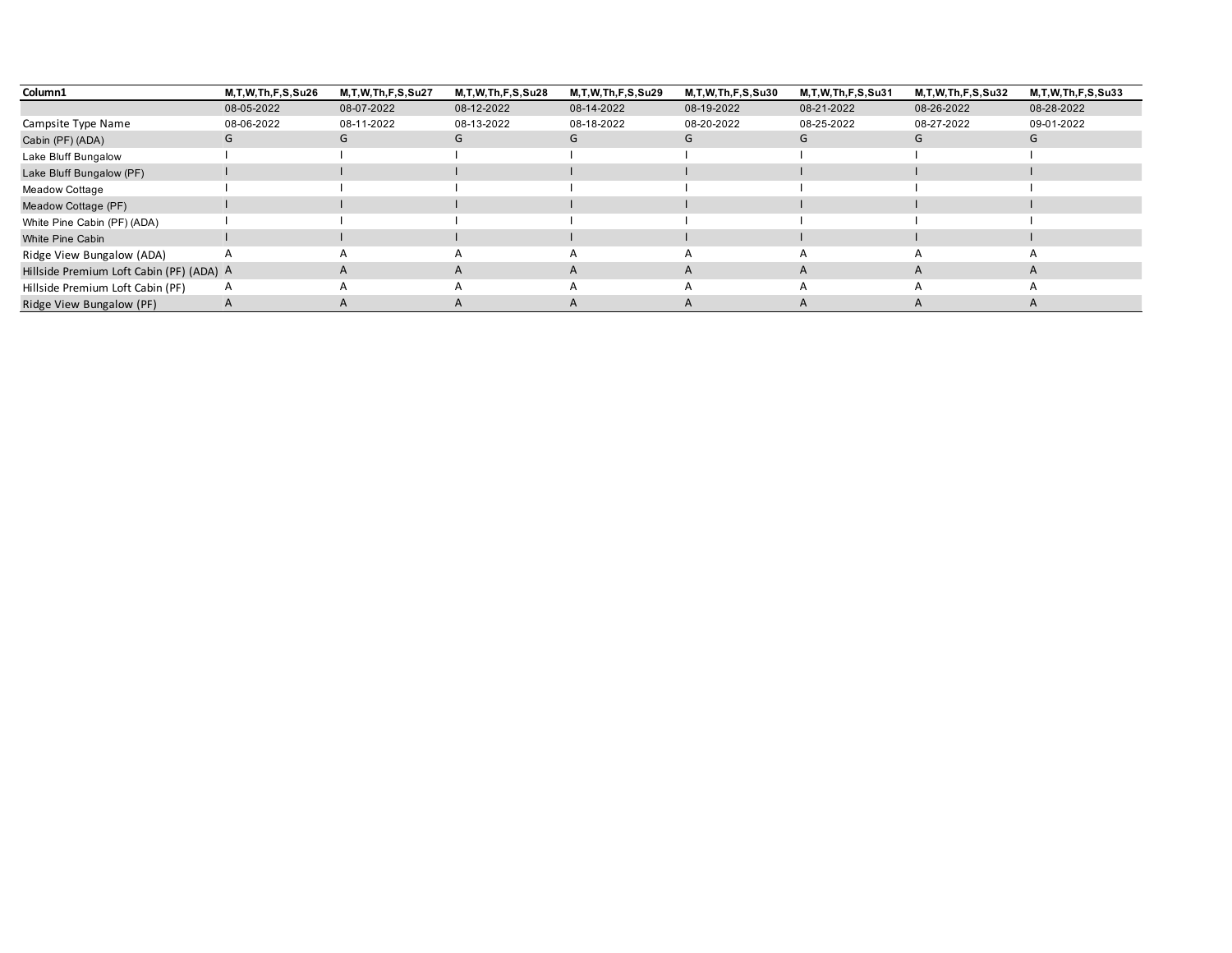| Column1                                  | M, T, W, Th, F, S, Su26 | M, T, W, Th, F, S, Su27 | M, T, W, Th, F, S, Su28 | M, T, W, Th, F, S, Su29 | M,T,W,Th,F,S,Su30 | M, T, W, Th, F, S, Su31 | M, T, W, Th, F, S, Su32 | M, T, W, Th, F, S, Su33 |
|------------------------------------------|-------------------------|-------------------------|-------------------------|-------------------------|-------------------|-------------------------|-------------------------|-------------------------|
|                                          | 08-05-2022              | 08-07-2022              | 08-12-2022              | 08-14-2022              | 08-19-2022        | 08-21-2022              | 08-26-2022              | 08-28-2022              |
| Campsite Type Name                       | 08-06-2022              | 08-11-2022              | 08-13-2022              | 08-18-2022              | 08-20-2022        | 08-25-2022              | 08-27-2022              | 09-01-2022              |
| Cabin (PF) (ADA)                         | G                       | G                       | G                       | G                       | G                 | G                       | G                       | G                       |
| Lake Bluff Bungalow                      |                         |                         |                         |                         |                   |                         |                         |                         |
| Lake Bluff Bungalow (PF)                 |                         |                         |                         |                         |                   |                         |                         |                         |
| Meadow Cottage                           |                         |                         |                         |                         |                   |                         |                         |                         |
| Meadow Cottage (PF)                      |                         |                         |                         |                         |                   |                         |                         |                         |
| White Pine Cabin (PF) (ADA)              |                         |                         |                         |                         |                   |                         |                         |                         |
| White Pine Cabin                         |                         |                         |                         |                         |                   |                         |                         |                         |
| Ridge View Bungalow (ADA)                |                         |                         |                         | A                       | $\overline{A}$    | А                       |                         |                         |
| Hillside Premium Loft Cabin (PF) (ADA) A |                         | A                       | A                       | $\mathsf{A}$            | A                 | A                       | A                       | A                       |
| Hillside Premium Loft Cabin (PF)         | A                       | А                       |                         | А                       | $\overline{A}$    | $\overline{A}$          |                         |                         |
| Ridge View Bungalow (PF)                 |                         | А                       |                         | A                       | A                 | $\mathsf{A}$            |                         |                         |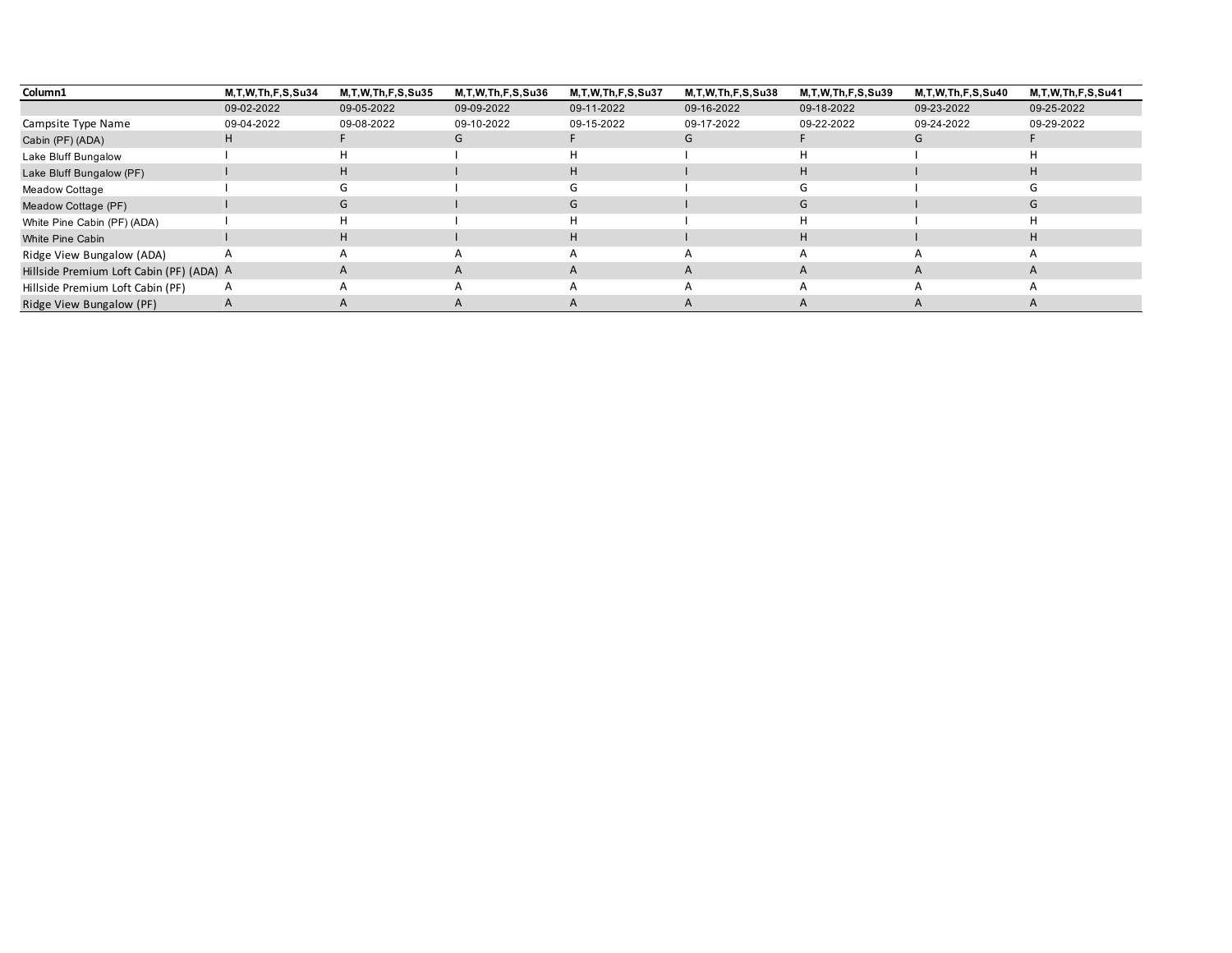| Column1                                  | M, T, W, Th, F, S, Su34 | M, T, W, Th, F, S, Su35 | M, T, W, Th, F, S, Su36 | M, T, W, Th, F, S, Su37 | M, T, W, Th, F, S, Su38 | M, T, W, Th, F, S, Su39 | M, T, W, Th, F, S, Su40 | M, T, W, Th, F, S, Su41 |
|------------------------------------------|-------------------------|-------------------------|-------------------------|-------------------------|-------------------------|-------------------------|-------------------------|-------------------------|
|                                          | 09-02-2022              | 09-05-2022              | 09-09-2022              | 09-11-2022              | 09-16-2022              | 09-18-2022              | 09-23-2022              | 09-25-2022              |
| Campsite Type Name                       | 09-04-2022              | 09-08-2022              | 09-10-2022              | 09-15-2022              | 09-17-2022              | 09-22-2022              | 09-24-2022              | 09-29-2022              |
| Cabin (PF) (ADA)                         |                         |                         | G                       |                         | G                       |                         | G                       |                         |
| Lake Bluff Bungalow                      |                         | н                       |                         |                         |                         |                         |                         |                         |
| Lake Bluff Bungalow (PF)                 |                         | H                       |                         | H                       |                         | H                       |                         | н                       |
| Meadow Cottage                           |                         | G                       |                         | (7)                     |                         | (7)                     |                         |                         |
| Meadow Cottage (PF)                      |                         | G                       |                         | G                       |                         | G                       |                         | G                       |
| White Pine Cabin (PF) (ADA)              |                         |                         |                         |                         |                         |                         |                         |                         |
| White Pine Cabin                         |                         | H                       |                         | H                       |                         | H                       |                         |                         |
| Ridge View Bungalow (ADA)                |                         |                         |                         | A                       | $\overline{A}$          | А                       |                         |                         |
| Hillside Premium Loft Cabin (PF) (ADA) A |                         | A                       | A                       | $\mathsf{A}$            | $\overline{A}$          | $\mathsf{A}$            | A                       | A                       |
| Hillside Premium Loft Cabin (PF)         | A                       |                         |                         | А                       | $\overline{A}$          | $\mathsf{A}$            |                         |                         |
| Ridge View Bungalow (PF)                 |                         | А                       |                         | A                       | A                       |                         |                         |                         |